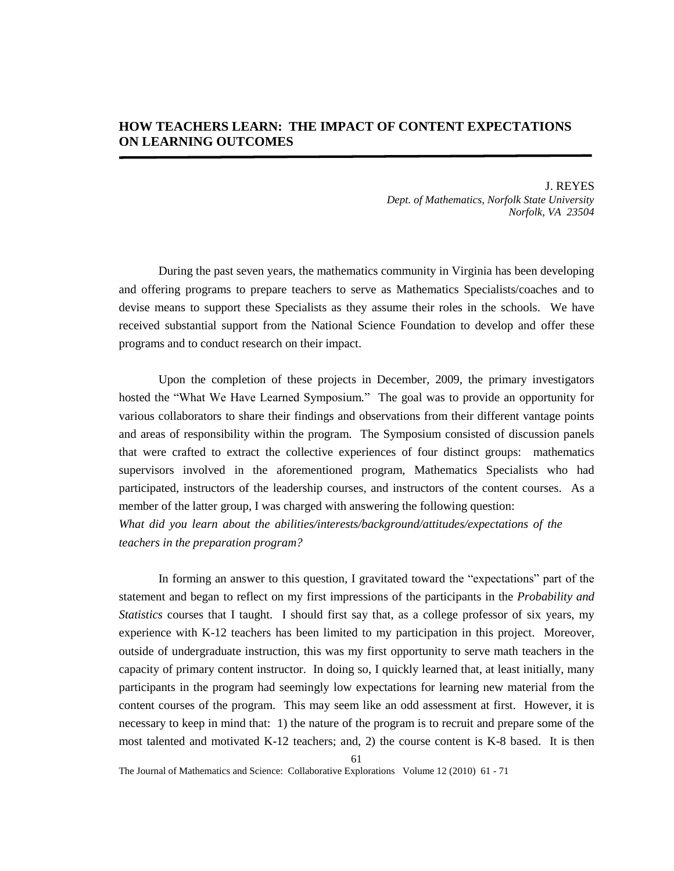# **HOW TEACHERS LEARN: THE IMPACT OF CONTENT EXPECTATIONS ON LEARNING OUTCOMES**

J. REYES *Dept. of Mathematics, Norfolk State University Norfolk, VA 23504* 

During the past seven years, the mathematics community in Virginia has been developing and offering programs to prepare teachers to serve as Mathematics Specialists/coaches and to devise means to support these Specialists as they assume their roles in the schools. We have received substantial support from the National Science Foundation to develop and offer these programs and to conduct research on their impact.

Upon the completion of these projects in December, 2009, the primary investigators hosted the "What We Have Learned Symposium*.*" The goal was to provide an opportunity for various collaborators to share their findings and observations from their different vantage points and areas of responsibility within the program. The Symposium consisted of discussion panels that were crafted to extract the collective experiences of four distinct groups: mathematics supervisors involved in the aforementioned program, Mathematics Specialists who had participated, instructors of the leadership courses, and instructors of the content courses. As a member of the latter group, I was charged with answering the following question: *What did you learn about the abilities/interests/background/attitudes/expectations of the* 

*teachers in the preparation program?* 

In forming an answer to this question, I gravitated toward the "expectations" part of the statement and began to reflect on my first impressions of the participants in the *Probability and Statistics* courses that I taught. I should first say that, as a college professor of six years, my experience with K-12 teachers has been limited to my participation in this project. Moreover, outside of undergraduate instruction, this was my first opportunity to serve math teachers in the capacity of primary content instructor. In doing so, I quickly learned that, at least initially, many participants in the program had seemingly low expectations for learning new material from the content courses of the program. This may seem like an odd assessment at first. However, it is necessary to keep in mind that: 1) the nature of the program is to recruit and prepare some of the most talented and motivated K-12 teachers; and, 2) the course content is K-8 based. It is then

The Journal of Mathematics and Science: Collaborative Explorations Volume 12 (2010) 61 - 71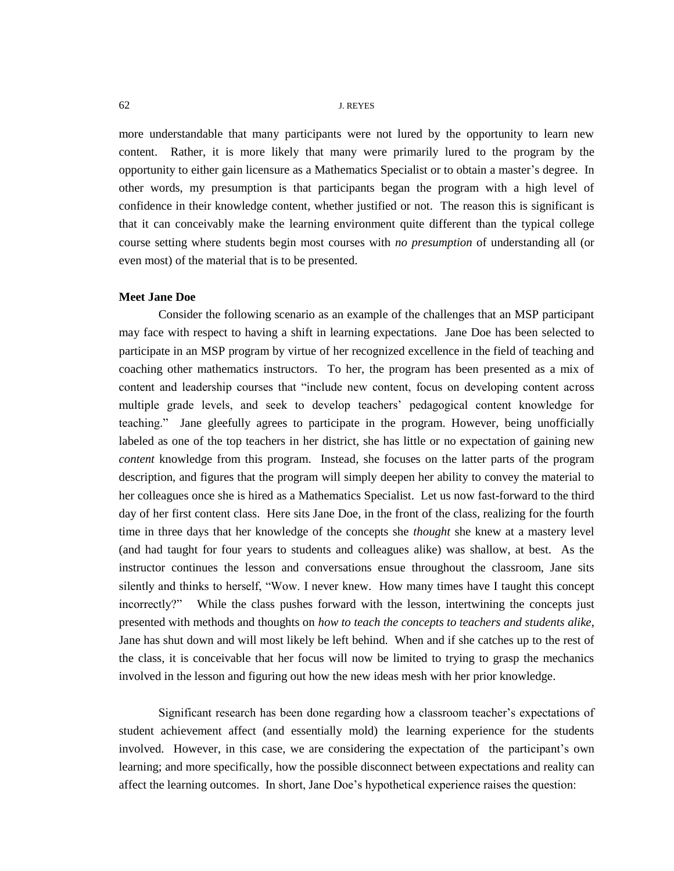more understandable that many participants were not lured by the opportunity to learn new content. Rather, it is more likely that many were primarily lured to the program by the opportunity to either gain licensure as a Mathematics Specialist or to obtain a master"s degree. In other words, my presumption is that participants began the program with a high level of confidence in their knowledge content, whether justified or not. The reason this is significant is that it can conceivably make the learning environment quite different than the typical college course setting where students begin most courses with *no presumption* of understanding all (or even most) of the material that is to be presented.

## **Meet Jane Doe**

Consider the following scenario as an example of the challenges that an MSP participant may face with respect to having a shift in learning expectations. Jane Doe has been selected to participate in an MSP program by virtue of her recognized excellence in the field of teaching and coaching other mathematics instructors. To her, the program has been presented as a mix of content and leadership courses that "include new content, focus on developing content across multiple grade levels, and seek to develop teachers" pedagogical content knowledge for teaching." Jane gleefully agrees to participate in the program. However, being unofficially labeled as one of the top teachers in her district, she has little or no expectation of gaining new *content* knowledge from this program. Instead, she focuses on the latter parts of the program description, and figures that the program will simply deepen her ability to convey the material to her colleagues once she is hired as a Mathematics Specialist. Let us now fast-forward to the third day of her first content class. Here sits Jane Doe, in the front of the class, realizing for the fourth time in three days that her knowledge of the concepts she *thought* she knew at a mastery level (and had taught for four years to students and colleagues alike) was shallow, at best. As the instructor continues the lesson and conversations ensue throughout the classroom, Jane sits silently and thinks to herself, "Wow. I never knew. How many times have I taught this concept incorrectly?" While the class pushes forward with the lesson, intertwining the concepts just presented with methods and thoughts on *how to teach the concepts to teachers and students alike*, Jane has shut down and will most likely be left behind. When and if she catches up to the rest of the class, it is conceivable that her focus will now be limited to trying to grasp the mechanics involved in the lesson and figuring out how the new ideas mesh with her prior knowledge.

Significant research has been done regarding how a classroom teacher"s expectations of student achievement affect (and essentially mold) the learning experience for the students involved. However, in this case, we are considering the expectation of the participant"s own learning; and more specifically, how the possible disconnect between expectations and reality can affect the learning outcomes. In short, Jane Doe"s hypothetical experience raises the question: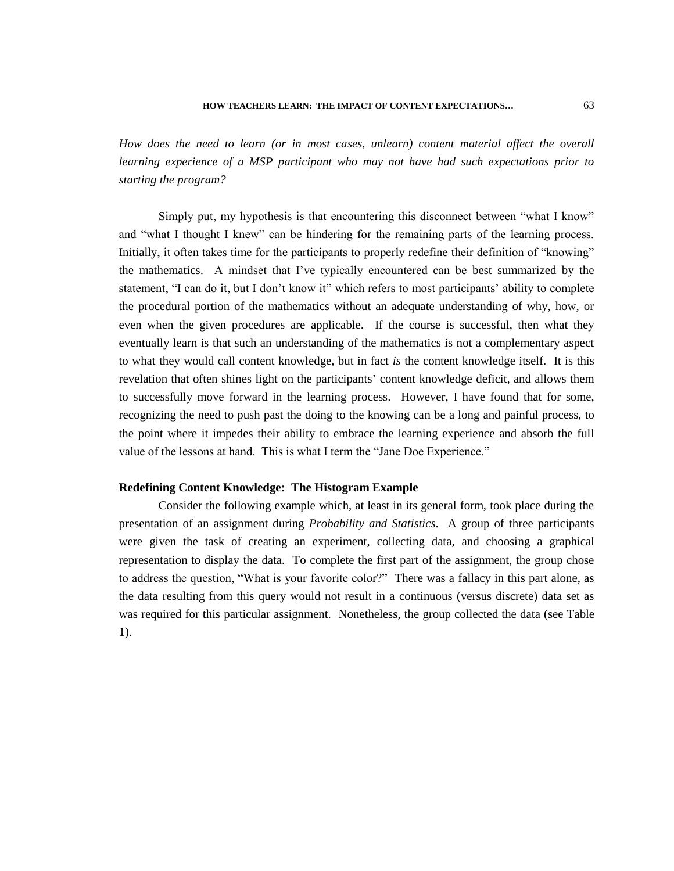*How does the need to learn (or in most cases, unlearn) content material affect the overall learning experience of a MSP participant who may not have had such expectations prior to starting the program?* 

Simply put, my hypothesis is that encountering this disconnect between "what I know" and "what I thought I knew" can be hindering for the remaining parts of the learning process. Initially, it often takes time for the participants to properly redefine their definition of "knowing" the mathematics. A mindset that I"ve typically encountered can be best summarized by the statement, "I can do it, but I don"t know it" which refers to most participants" ability to complete the procedural portion of the mathematics without an adequate understanding of why, how, or even when the given procedures are applicable. If the course is successful, then what they eventually learn is that such an understanding of the mathematics is not a complementary aspect to what they would call content knowledge, but in fact *is* the content knowledge itself. It is this revelation that often shines light on the participants" content knowledge deficit, and allows them to successfully move forward in the learning process. However, I have found that for some, recognizing the need to push past the doing to the knowing can be a long and painful process, to the point where it impedes their ability to embrace the learning experience and absorb the full value of the lessons at hand. This is what I term the "Jane Doe Experience."

#### **Redefining Content Knowledge: The Histogram Example**

Consider the following example which, at least in its general form, took place during the presentation of an assignment during *Probability and Statistics*. A group of three participants were given the task of creating an experiment, collecting data, and choosing a graphical representation to display the data. To complete the first part of the assignment, the group chose to address the question, "What is your favorite color?" There was a fallacy in this part alone, as the data resulting from this query would not result in a continuous (versus discrete) data set as was required for this particular assignment. Nonetheless, the group collected the data (see Table 1).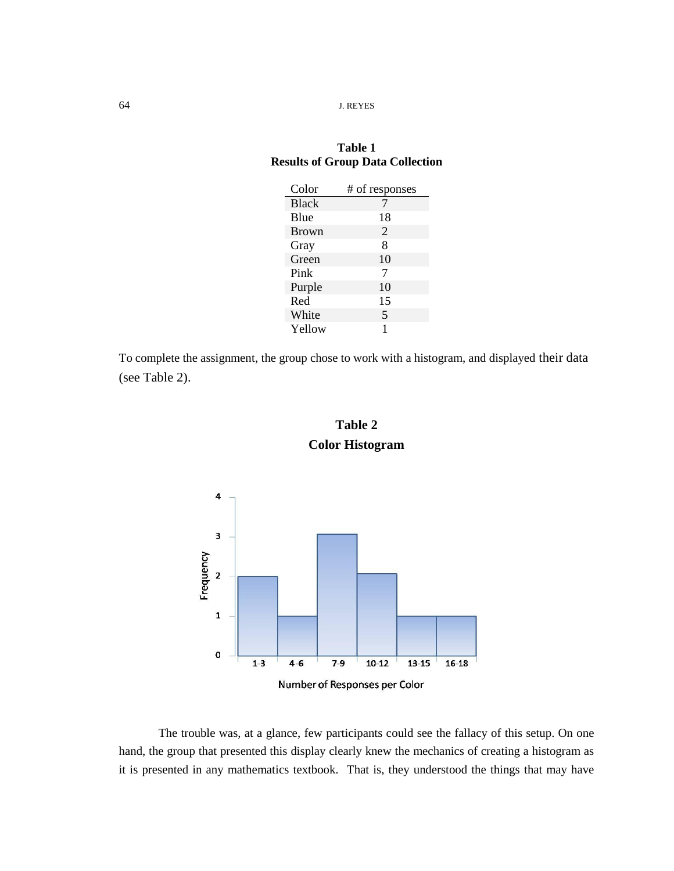# **Table 1 Results of Group Data Collection**

| Color        | # of responses |
|--------------|----------------|
| <b>Black</b> |                |
| Blue         | 18             |
| <b>Brown</b> | 2              |
| Gray         | 8              |
| Green        | 10             |
| Pink         | 7              |
| Purple       | 10             |
| Red          | 15             |
| White        | 5              |
| Yellow       | 1              |

To complete the assignment, the group chose to work with a histogram, and displayed their data (see Table 2).





Number of Responses per Color

The trouble was, at a glance, few participants could see the fallacy of this setup. On one hand, the group that presented this display clearly knew the mechanics of creating a histogram as it is presented in any mathematics textbook. That is, they understood the things that may have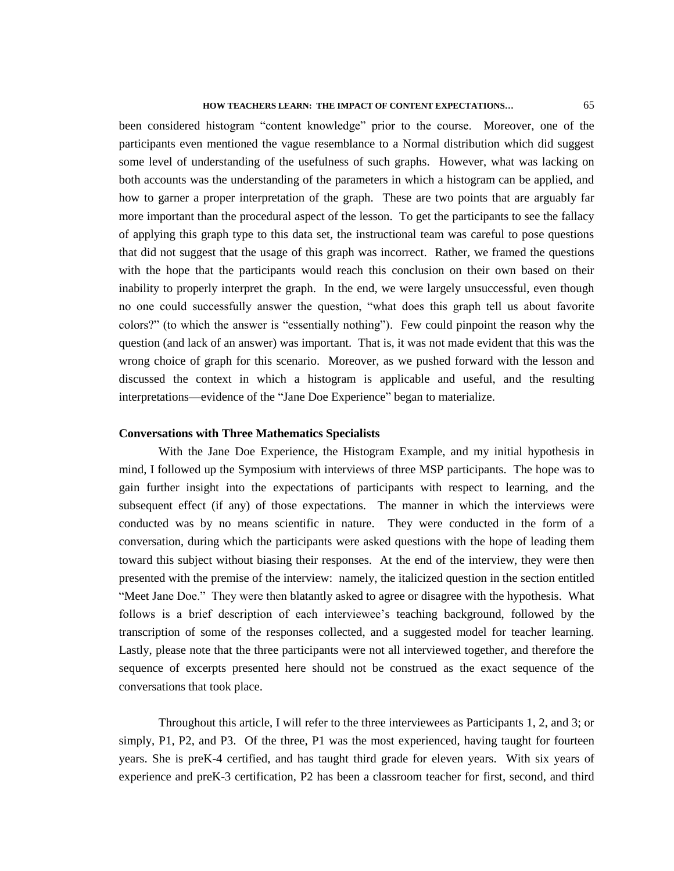# **HOW TEACHERS LEARN: THE IMPACT OF CONTENT EXPECTATIONS…** 65

been considered histogram "content knowledge" prior to the course. Moreover, one of the participants even mentioned the vague resemblance to a Normal distribution which did suggest some level of understanding of the usefulness of such graphs. However, what was lacking on both accounts was the understanding of the parameters in which a histogram can be applied, and how to garner a proper interpretation of the graph. These are two points that are arguably far more important than the procedural aspect of the lesson. To get the participants to see the fallacy of applying this graph type to this data set, the instructional team was careful to pose questions that did not suggest that the usage of this graph was incorrect. Rather, we framed the questions with the hope that the participants would reach this conclusion on their own based on their inability to properly interpret the graph. In the end, we were largely unsuccessful, even though no one could successfully answer the question, "what does this graph tell us about favorite colors?" (to which the answer is "essentially nothing"). Few could pinpoint the reason why the question (and lack of an answer) was important. That is, it was not made evident that this was the wrong choice of graph for this scenario. Moreover, as we pushed forward with the lesson and discussed the context in which a histogram is applicable and useful, and the resulting interpretations—evidence of the "Jane Doe Experience" began to materialize.

### **Conversations with Three Mathematics Specialists**

With the Jane Doe Experience, the Histogram Example, and my initial hypothesis in mind, I followed up the Symposium with interviews of three MSP participants. The hope was to gain further insight into the expectations of participants with respect to learning, and the subsequent effect (if any) of those expectations. The manner in which the interviews were conducted was by no means scientific in nature. They were conducted in the form of a conversation, during which the participants were asked questions with the hope of leading them toward this subject without biasing their responses. At the end of the interview, they were then presented with the premise of the interview: namely, the italicized question in the section entitled "Meet Jane Doe." They were then blatantly asked to agree or disagree with the hypothesis. What follows is a brief description of each interviewee"s teaching background, followed by the transcription of some of the responses collected, and a suggested model for teacher learning. Lastly, please note that the three participants were not all interviewed together, and therefore the sequence of excerpts presented here should not be construed as the exact sequence of the conversations that took place.

Throughout this article, I will refer to the three interviewees as Participants 1, 2, and 3; or simply, P1, P2, and P3. Of the three, P1 was the most experienced, having taught for fourteen years. She is preK-4 certified, and has taught third grade for eleven years. With six years of experience and preK-3 certification, P2 has been a classroom teacher for first, second, and third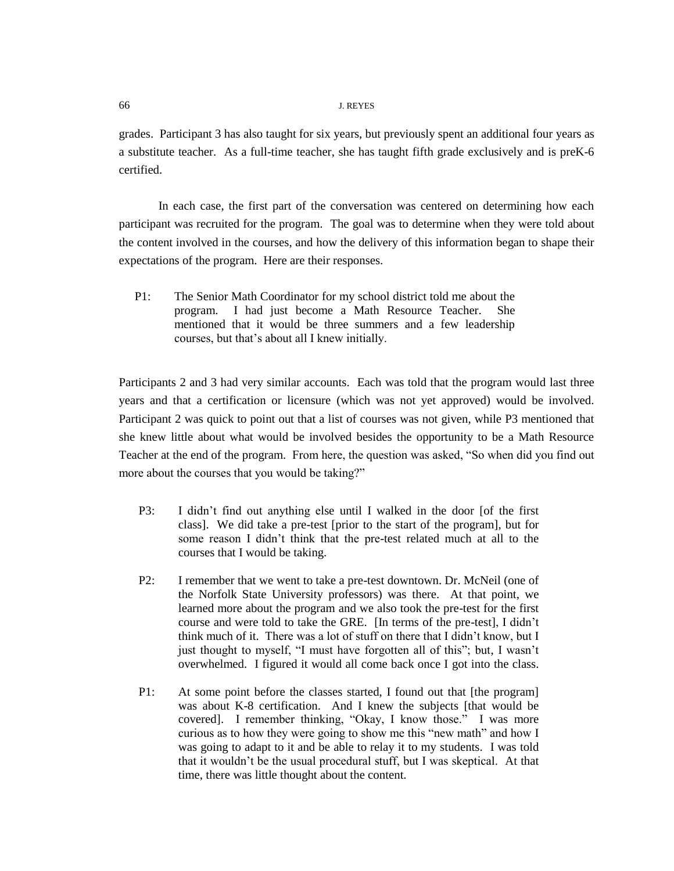grades. Participant 3 has also taught for six years, but previously spent an additional four years as a substitute teacher. As a full-time teacher, she has taught fifth grade exclusively and is preK-6 certified.

In each case, the first part of the conversation was centered on determining how each participant was recruited for the program. The goal was to determine when they were told about the content involved in the courses, and how the delivery of this information began to shape their expectations of the program. Here are their responses.

P1: The Senior Math Coordinator for my school district told me about the program. I had just become a Math Resource Teacher. She mentioned that it would be three summers and a few leadership courses, but that"s about all I knew initially.

Participants 2 and 3 had very similar accounts. Each was told that the program would last three years and that a certification or licensure (which was not yet approved) would be involved. Participant 2 was quick to point out that a list of courses was not given, while P3 mentioned that she knew little about what would be involved besides the opportunity to be a Math Resource Teacher at the end of the program. From here, the question was asked, "So when did you find out more about the courses that you would be taking?"

- P3: I didn"t find out anything else until I walked in the door [of the first class]. We did take a pre-test [prior to the start of the program], but for some reason I didn"t think that the pre-test related much at all to the courses that I would be taking.
- P2: I remember that we went to take a pre-test downtown. Dr. McNeil (one of the Norfolk State University professors) was there. At that point, we learned more about the program and we also took the pre-test for the first course and were told to take the GRE. [In terms of the pre-test], I didn"t think much of it. There was a lot of stuff on there that I didn"t know, but I just thought to myself, "I must have forgotten all of this"; but, I wasn"t overwhelmed. I figured it would all come back once I got into the class.
- P1: At some point before the classes started, I found out that [the program] was about K-8 certification. And I knew the subjects [that would be covered]. I remember thinking, "Okay, I know those." I was more curious as to how they were going to show me this "new math" and how I was going to adapt to it and be able to relay it to my students. I was told that it wouldn"t be the usual procedural stuff, but I was skeptical. At that time, there was little thought about the content.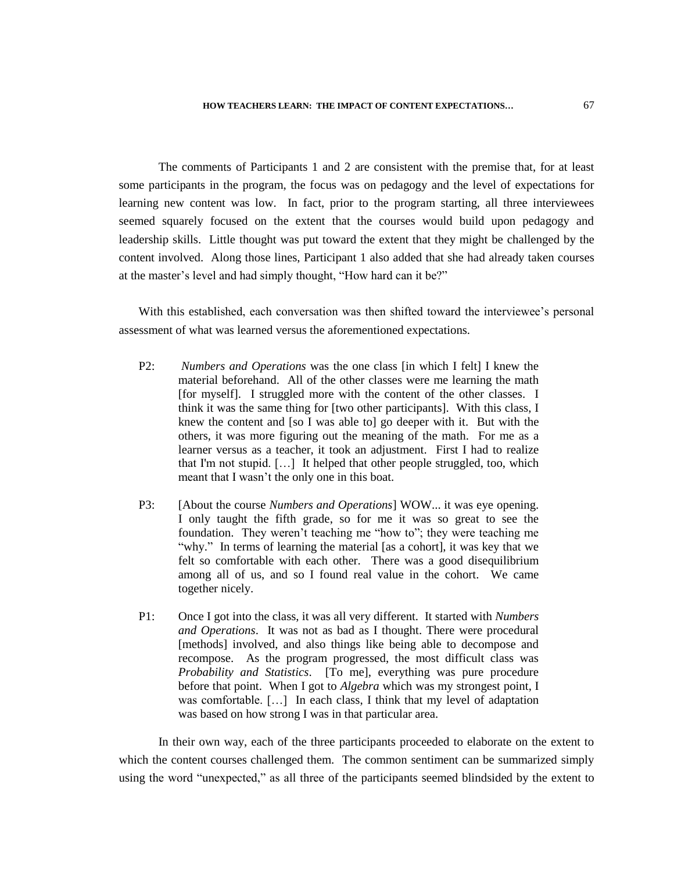**HOW TEACHERS LEARN: THE IMPACT OF CONTENT EXPECTATIONS…** 67

The comments of Participants 1 and 2 are consistent with the premise that, for at least some participants in the program, the focus was on pedagogy and the level of expectations for learning new content was low. In fact, prior to the program starting, all three interviewees seemed squarely focused on the extent that the courses would build upon pedagogy and leadership skills. Little thought was put toward the extent that they might be challenged by the content involved. Along those lines, Participant 1 also added that she had already taken courses at the master"s level and had simply thought, "How hard can it be?"

With this established, each conversation was then shifted toward the interviewee"s personal assessment of what was learned versus the aforementioned expectations.

- P2: *Numbers and Operations* was the one class [in which I felt] I knew the material beforehand. All of the other classes were me learning the math [for myself]. I struggled more with the content of the other classes. I think it was the same thing for [two other participants]. With this class, I knew the content and [so I was able to] go deeper with it. But with the others, it was more figuring out the meaning of the math. For me as a learner versus as a teacher, it took an adjustment. First I had to realize that I'm not stupid. […] It helped that other people struggled, too, which meant that I wasn"t the only one in this boat.
- P3: [About the course *Numbers and Operations*] WOW... it was eye opening. I only taught the fifth grade, so for me it was so great to see the foundation. They weren"t teaching me "how to"; they were teaching me "why." In terms of learning the material [as a cohort], it was key that we felt so comfortable with each other. There was a good disequilibrium among all of us, and so I found real value in the cohort. We came together nicely.
- P1: Once I got into the class, it was all very different. It started with *Numbers and Operations*. It was not as bad as I thought. There were procedural [methods] involved, and also things like being able to decompose and recompose. As the program progressed, the most difficult class was *Probability and Statistics*. [To me], everything was pure procedure before that point. When I got to *Algebra* which was my strongest point, I was comfortable. [...] In each class, I think that my level of adaptation was based on how strong I was in that particular area.

In their own way, each of the three participants proceeded to elaborate on the extent to which the content courses challenged them. The common sentiment can be summarized simply using the word "unexpected," as all three of the participants seemed blindsided by the extent to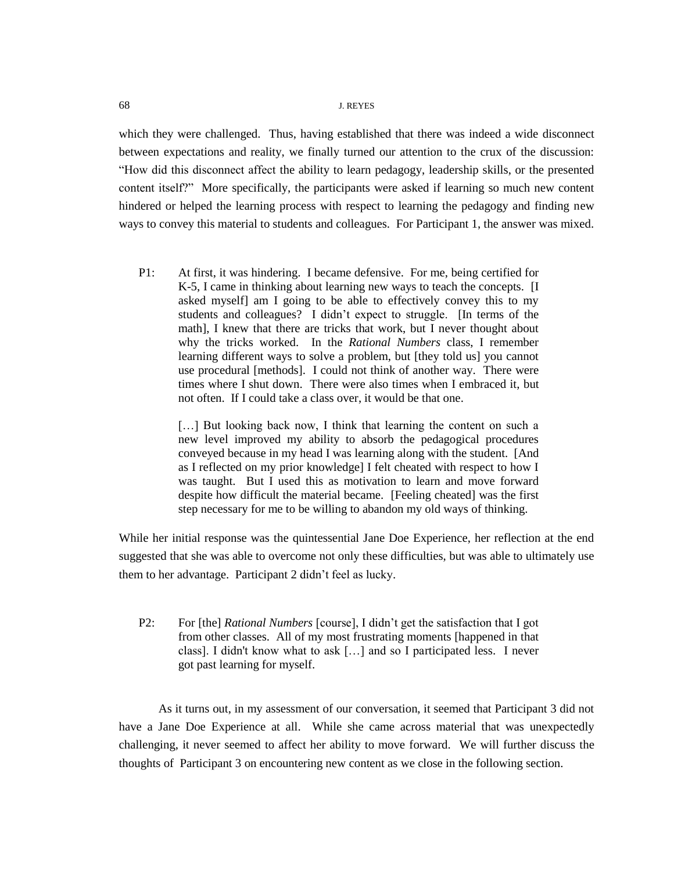which they were challenged. Thus, having established that there was indeed a wide disconnect between expectations and reality, we finally turned our attention to the crux of the discussion: "How did this disconnect affect the ability to learn pedagogy, leadership skills, or the presented content itself?" More specifically, the participants were asked if learning so much new content hindered or helped the learning process with respect to learning the pedagogy and finding new ways to convey this material to students and colleagues. For Participant 1, the answer was mixed.

P1: At first, it was hindering. I became defensive. For me, being certified for K-5, I came in thinking about learning new ways to teach the concepts. [I asked myself] am I going to be able to effectively convey this to my students and colleagues? I didn"t expect to struggle. [In terms of the math], I knew that there are tricks that work, but I never thought about why the tricks worked. In the *Rational Numbers* class, I remember learning different ways to solve a problem, but [they told us] you cannot use procedural [methods]. I could not think of another way. There were times where I shut down. There were also times when I embraced it, but not often. If I could take a class over, it would be that one.

> [...] But looking back now, I think that learning the content on such a new level improved my ability to absorb the pedagogical procedures conveyed because in my head I was learning along with the student. [And as I reflected on my prior knowledge] I felt cheated with respect to how I was taught. But I used this as motivation to learn and move forward despite how difficult the material became. [Feeling cheated] was the first step necessary for me to be willing to abandon my old ways of thinking.

While her initial response was the quintessential Jane Doe Experience, her reflection at the end suggested that she was able to overcome not only these difficulties, but was able to ultimately use them to her advantage. Participant 2 didn"t feel as lucky.

P2: For [the] *Rational Numbers* [course], I didn"t get the satisfaction that I got from other classes. All of my most frustrating moments [happened in that class]. I didn't know what to ask […] and so I participated less. I never got past learning for myself.

As it turns out, in my assessment of our conversation, it seemed that Participant 3 did not have a Jane Doe Experience at all. While she came across material that was unexpectedly challenging, it never seemed to affect her ability to move forward. We will further discuss the thoughts of Participant 3 on encountering new content as we close in the following section.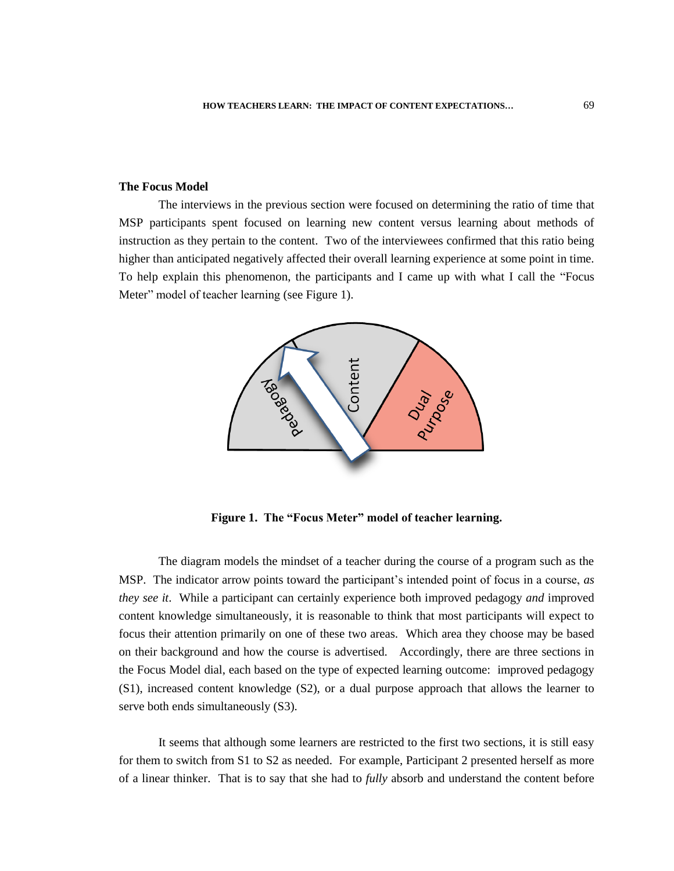#### **The Focus Model**

The interviews in the previous section were focused on determining the ratio of time that MSP participants spent focused on learning new content versus learning about methods of instruction as they pertain to the content. Two of the interviewees confirmed that this ratio being higher than anticipated negatively affected their overall learning experience at some point in time. To help explain this phenomenon, the participants and I came up with what I call the "Focus Meter" model of teacher learning (see Figure 1).



**Figure 1. The "Focus Meter" model of teacher learning.** 

The diagram models the mindset of a teacher during the course of a program such as the MSP. The indicator arrow points toward the participant"s intended point of focus in a course, *as they see it*. While a participant can certainly experience both improved pedagogy *and* improved content knowledge simultaneously, it is reasonable to think that most participants will expect to focus their attention primarily on one of these two areas. Which area they choose may be based on their background and how the course is advertised. Accordingly, there are three sections in the Focus Model dial, each based on the type of expected learning outcome: improved pedagogy (S1), increased content knowledge (S2), or a dual purpose approach that allows the learner to serve both ends simultaneously (S3).

It seems that although some learners are restricted to the first two sections, it is still easy for them to switch from S1 to S2 as needed. For example, Participant 2 presented herself as more of a linear thinker. That is to say that she had to *fully* absorb and understand the content before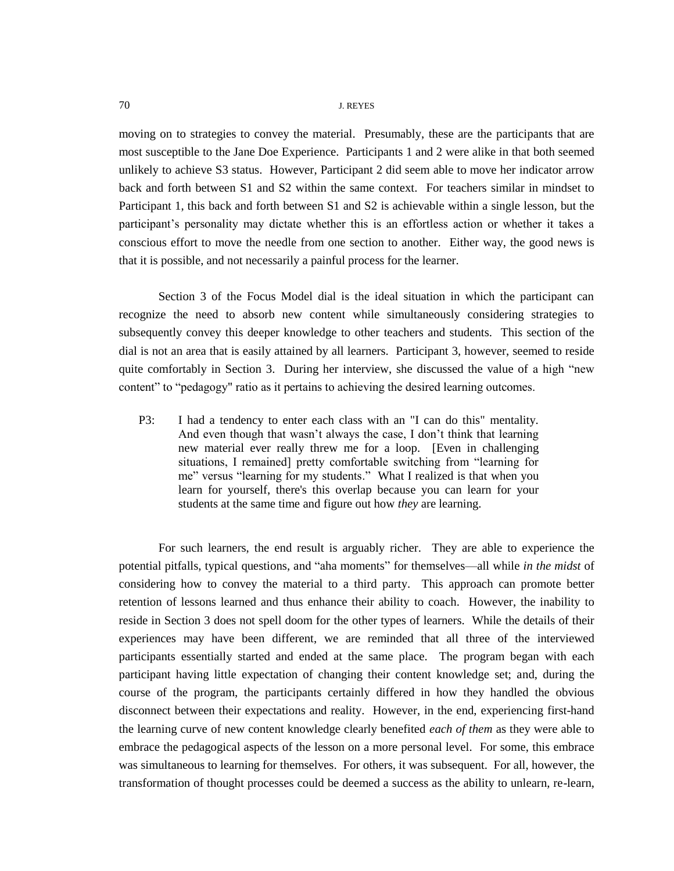moving on to strategies to convey the material. Presumably, these are the participants that are most susceptible to the Jane Doe Experience. Participants 1 and 2 were alike in that both seemed unlikely to achieve S3 status. However, Participant 2 did seem able to move her indicator arrow back and forth between S1 and S2 within the same context. For teachers similar in mindset to Participant 1, this back and forth between S1 and S2 is achievable within a single lesson, but the participant"s personality may dictate whether this is an effortless action or whether it takes a conscious effort to move the needle from one section to another. Either way, the good news is that it is possible, and not necessarily a painful process for the learner.

Section 3 of the Focus Model dial is the ideal situation in which the participant can recognize the need to absorb new content while simultaneously considering strategies to subsequently convey this deeper knowledge to other teachers and students. This section of the dial is not an area that is easily attained by all learners. Participant 3, however, seemed to reside quite comfortably in Section 3. During her interview, she discussed the value of a high "new content" to "pedagogy" ratio as it pertains to achieving the desired learning outcomes.

P3: I had a tendency to enter each class with an "I can do this" mentality. And even though that wasn"t always the case, I don"t think that learning new material ever really threw me for a loop. [Even in challenging situations, I remained] pretty comfortable switching from "learning for me" versus "learning for my students." What I realized is that when you learn for yourself, there's this overlap because you can learn for your students at the same time and figure out how *they* are learning.

For such learners, the end result is arguably richer. They are able to experience the potential pitfalls, typical questions, and "aha moments" for themselves—all while *in the midst* of considering how to convey the material to a third party. This approach can promote better retention of lessons learned and thus enhance their ability to coach. However, the inability to reside in Section 3 does not spell doom for the other types of learners. While the details of their experiences may have been different, we are reminded that all three of the interviewed participants essentially started and ended at the same place. The program began with each participant having little expectation of changing their content knowledge set; and, during the course of the program, the participants certainly differed in how they handled the obvious disconnect between their expectations and reality. However, in the end, experiencing first-hand the learning curve of new content knowledge clearly benefited *each of them* as they were able to embrace the pedagogical aspects of the lesson on a more personal level. For some, this embrace was simultaneous to learning for themselves. For others, it was subsequent. For all, however, the transformation of thought processes could be deemed a success as the ability to unlearn, re-learn,